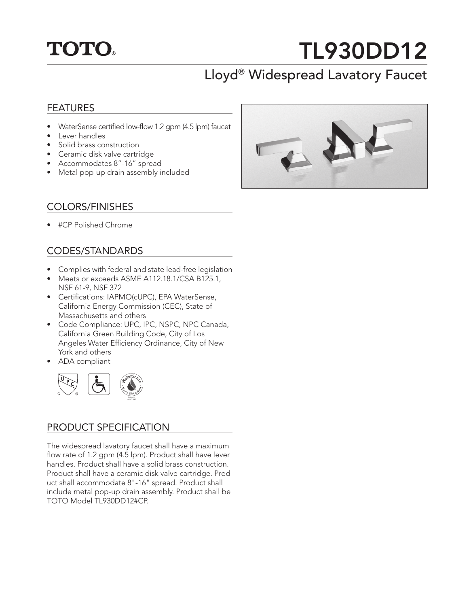

# TL930DD12

# Lloyd® Widespread Lavatory Faucet

#### FEATURES

- WaterSense certified low-flow 1.2 gpm (4.5 lpm) faucet
- Lever handles
- Solid brass construction
- Ceramic disk valve cartridge
- Accommodates 8"-16" spread
- Metal pop-up drain assembly included

#### COLORS/FINISHES

• #CP Polished Chrome

#### CODES/STANDARDS

- Complies with federal and state lead-free legislation
- Meets or exceeds ASME A112.18.1/CSA B125.1, NSF 61-9, NSF 372
- Certifications: IAPMO(cUPC), EPA WaterSense, California Energy Commission (CEC), State of Massachusetts and others
- Code Compliance: UPC, IPC, NSPC, NPC Canada, California Green Building Code, City of Los Angeles Water Efficiency Ordinance, City of New York and others
- ADA compliant



### PRODUCT SPECIFICATION

The widespread lavatory faucet shall have a maximum flow rate of 1.2 gpm (4.5 lpm). Product shall have lever handles. Product shall have a solid brass construction. Product shall have a ceramic disk valve cartridge. Product shall accommodate 8"-16" spread. Product shall include metal pop-up drain assembly. Product shall be TOTO Model TL930DD12#CP.